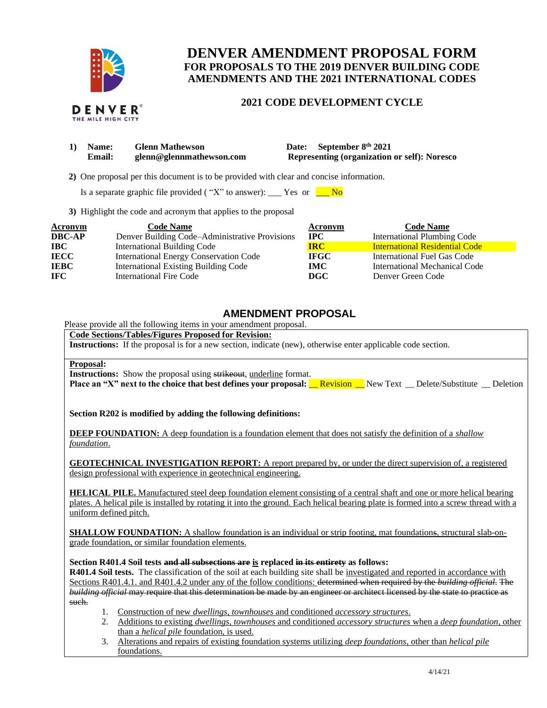

THE MILE HIGH CITY

# **DENVER AMENDMENT PROPOSAL FORM FOR PROPOSALS TO THE 2019 DENVER BUILDING CODE AMENDMENTS AND THE 2021 INTERNATIONAL CODES**

# **2021 CODE DEVELOPMENT CYCLE**

| 1) Name:      | <b>Glenn Mathewson</b>   | Date: September 8th 2021                            |
|---------------|--------------------------|-----------------------------------------------------|
| <b>Email:</b> | glenn@glennmathewson.com | <b>Representing (organization or self): Noresco</b> |

 **2)** One proposal per this document is to be provided with clear and concise information.

Is a separate graphic file provided ("X" to answer): \_\_\_ Yes or  $\frac{\ }{\ }$  No

**3)** Highlight the code and acronym that applies to the proposal

| <b>Acronym</b> | <b>Code Name</b>                               | Acronym     | <b>Code Name</b>                      |
|----------------|------------------------------------------------|-------------|---------------------------------------|
| <b>DBC-AP</b>  | Denver Building Code–Administrative Provisions | <b>IPC</b>  | <b>International Plumbing Code</b>    |
| <b>IBC</b>     | International Building Code                    | <b>IRC</b>  | <b>International Residential Code</b> |
| <b>IECC</b>    | <b>International Energy Conservation Code</b>  | <b>IFGC</b> | <b>International Fuel Gas Code</b>    |
| <b>IEBC</b>    | <b>International Existing Building Code</b>    | <b>IMC</b>  | <b>International Mechanical Code</b>  |
| <b>IFC</b>     | International Fire Code                        | DGC.        | Denver Green Code                     |

# **AMENDMENT PROPOSAL**

Please provide all the following items in your amendment proposal.

# **Code Sections/Tables/Figures Proposed for Revision:**

**Instructions:** If the proposal is for a new section, indicate (new), otherwise enter applicable code section.

#### **Proposal:**

**Instructions:** Show the proposal using strikeout, underline format. **Place an "X" next to the choice that best defines your proposal:** <u>Revision New Text \_ Delete/Substitute \_ Deletion</u>

**Section R202 is modified by adding the following definitions:**

**DEEP FOUNDATION:** A deep foundation is a foundation element that does not satisfy the definition of a *shallow foundation*.

**GEOTECHNICAL INVESTIGATION REPORT:** A report prepared by, or under the direct supervision of, a registered design professional with experience in geotechnical engineering.

**HELICAL PILE.** Manufactured steel deep foundation element consisting of a central shaft and one or more helical bearing plates. A helical pile is installed by rotating it into the ground. Each helical bearing plate is formed into a screw thread with a uniform defined pitch.

**SHALLOW FOUNDATION:** A shallow foundation is an individual or strip footing, mat foundations, structural slab-ongrade foundation, or similar foundation elements.

**Section R401.4 Soil tests and all subsections are is replaced in its entirety as follows:**

**R401.4 Soil tests.** The classification of the soil at each building site shall be investigated and reported in accordance with Sections R401.4.1. and R401.4.2 under any of the follow conditions: determined when required by the *building official*. The *building official* may require that this determination be made by an engineer or architect licensed by the state to practice as such.

- 1. Construction of new *dwellings*, *townhouses* and conditioned *accessory structures*.
- 2. Additions to existing *dwellings*, *townhouses* and conditioned *accessory structures* when a *deep foundation*, other than a *helical pile* foundation, is used.
- 3. Alterations and repairs of existing foundation systems utilizing *deep foundations*, other than *helical pile* foundations.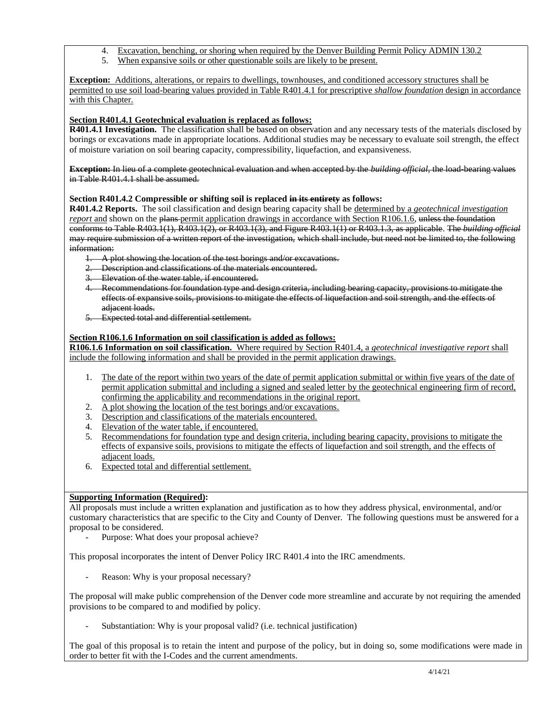- 4. Excavation, benching, or shoring when required by the Denver Building Permit Policy ADMIN 130.2<br>5. When expansive soils or other questionable soils are likely to be present
- When expansive soils or other questionable soils are likely to be present.

**Exception:** Additions, alterations, or repairs to dwellings, townhouses, and conditioned accessory structures shall be permitted to use soil load-bearing values provided in Table R401.4.1 for prescriptive *shallow foundation* design in accordance with this Chapter.

# **Section R401.4.1 Geotechnical evaluation is replaced as follows:**

**R401.4.1 Investigation.** The classification shall be based on observation and any necessary tests of the materials disclosed by borings or excavations made in appropriate locations. Additional studies may be necessary to evaluate soil strength, the effect of moisture variation on soil bearing capacity, compressibility, liquefaction, and expansiveness.

**Exception:** In lieu of a complete geotechnical evaluation and when accepted by the *building official*, the load-bearing values in Table R401.4.1 shall be assumed.

# **Section R401.4.2 Compressible or shifting soil is replaced in its entirety as follows:**

**R401.4.2 Reports.** The soil classification and design bearing capacity shall be determined by a *geotechnical investigation report* and shown on the plans-permit application drawings in accordance with Section R106.1.6, unless the foundation conforms to Table R403.1(1), R403.1(2), or R403.1(3), and Figure R403.1(1) or R403.1.3, as applicable. The *building official* may require submission of a written report of the investigation, which shall include, but need not be limited to, the following information:

- 1. A plot showing the location of the test borings and/or excavations.
- 2. Description and classifications of the materials encountered.
- 3. Elevation of the water table, if encountered.
- 4. Recommendations for foundation type and design criteria, including bearing capacity, provisions to mitigate the effects of expansive soils, provisions to mitigate the effects of liquefaction and soil strength, and the effects of adjacent loads.
- **Expected total and differential settlement.**

## **Section R106.1.6 Information on soil classification is added as follows:**

**R106.1.6 Information on soil classification.** Where required by Section R401.4, a *geotechnical investigative report* shall include the following information and shall be provided in the permit application drawings.

- 1. The date of the report within two years of the date of permit application submittal or within five years of the date of permit application submittal and including a signed and sealed letter by the geotechnical engineering firm of record, confirming the applicability and recommendations in the original report.
- 2. A plot showing the location of the test borings and/or excavations.
- 3. Description and classifications of the materials encountered.
- 4. Elevation of the water table, if encountered.
- 5. Recommendations for foundation type and design criteria, including bearing capacity, provisions to mitigate the effects of expansive soils, provisions to mitigate the effects of liquefaction and soil strength, and the effects of adjacent loads.
- 6. Expected total and differential settlement.

### **Supporting Information (Required):**

All proposals must include a written explanation and justification as to how they address physical, environmental, and/or customary characteristics that are specific to the City and County of Denver. The following questions must be answered for a proposal to be considered.

Purpose: What does your proposal achieve?

This proposal incorporates the intent of Denver Policy IRC R401.4 into the IRC amendments.

Reason: Why is your proposal necessary?

The proposal will make public comprehension of the Denver code more streamline and accurate by not requiring the amended provisions to be compared to and modified by policy.

Substantiation: Why is your proposal valid? (i.e. technical justification)

The goal of this proposal is to retain the intent and purpose of the policy, but in doing so, some modifications were made in order to better fit with the I-Codes and the current amendments.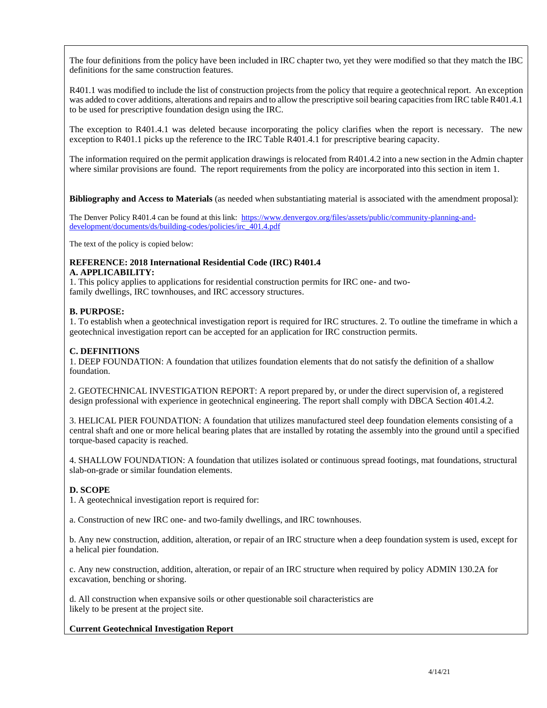The four definitions from the policy have been included in IRC chapter two, yet they were modified so that they match the IBC definitions for the same construction features.

R401.1 was modified to include the list of construction projects from the policy that require a geotechnical report. An exception was added to cover additions, alterations and repairs and to allow the prescriptive soil bearing capacities from IRC table R401.4.1 to be used for prescriptive foundation design using the IRC.

The exception to R401.4.1 was deleted because incorporating the policy clarifies when the report is necessary. The new exception to R401.1 picks up the reference to the IRC Table R401.4.1 for prescriptive bearing capacity.

The information required on the permit application drawings is relocated from R401.4.2 into a new section in the Admin chapter where similar provisions are found. The report requirements from the policy are incorporated into this section in item 1.

**Bibliography and Access to Materials** (as needed when substantiating material is associated with the amendment proposal):

The Denver Policy R401.4 can be found at this link: [https://www.denvergov.org/files/assets/public/community-planning-and](https://www.denvergov.org/files/assets/public/community-planning-and-development/documents/ds/building-codes/policies/irc_401.4.pdf)[development/documents/ds/building-codes/policies/irc\\_401.4.pdf](https://www.denvergov.org/files/assets/public/community-planning-and-development/documents/ds/building-codes/policies/irc_401.4.pdf)

The text of the policy is copied below:

#### **REFERENCE: 2018 International Residential Code (IRC) R401.4 A. APPLICABILITY:**

1. This policy applies to applications for residential construction permits for IRC one- and twofamily dwellings, IRC townhouses, and IRC accessory structures.

### **B. PURPOSE:**

1. To establish when a geotechnical investigation report is required for IRC structures. 2. To outline the timeframe in which a geotechnical investigation report can be accepted for an application for IRC construction permits.

### **C. DEFINITIONS**

1. DEEP FOUNDATION: A foundation that utilizes foundation elements that do not satisfy the definition of a shallow foundation.

2. GEOTECHNICAL INVESTIGATION REPORT: A report prepared by, or under the direct supervision of, a registered design professional with experience in geotechnical engineering. The report shall comply with DBCA Section 401.4.2.

3. HELICAL PIER FOUNDATION: A foundation that utilizes manufactured steel deep foundation elements consisting of a central shaft and one or more helical bearing plates that are installed by rotating the assembly into the ground until a specified torque-based capacity is reached.

4. SHALLOW FOUNDATION: A foundation that utilizes isolated or continuous spread footings, mat foundations, structural slab-on-grade or similar foundation elements.

### **D. SCOPE**

1. A geotechnical investigation report is required for:

a. Construction of new IRC one- and two-family dwellings, and IRC townhouses.

b. Any new construction, addition, alteration, or repair of an IRC structure when a deep foundation system is used, except for a helical pier foundation.

c. Any new construction, addition, alteration, or repair of an IRC structure when required by policy ADMIN 130.2A for excavation, benching or shoring.

d. All construction when expansive soils or other questionable soil characteristics are likely to be present at the project site.

### **Current Geotechnical Investigation Report**